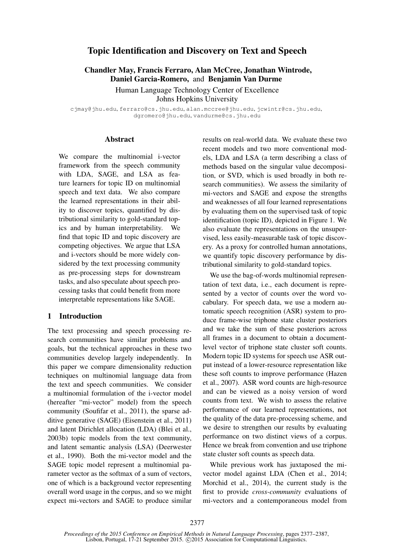# Topic Identification and Discovery on Text and Speech

# Chandler May, Francis Ferraro, Alan McCree, Jonathan Wintrode, Daniel Garcia-Romero, and Benjamin Van Durme

Human Language Technology Center of Excellence

Johns Hopkins University

cjmay@jhu.edu, ferraro@cs.jhu.edu, alan.mccree@jhu.edu, jcwintr@cs.jhu.edu, dgromero@jhu.edu, vandurme@cs.jhu.edu

#### **Abstract**

We compare the multinomial i-vector framework from the speech community with LDA, SAGE, and LSA as feature learners for topic ID on multinomial speech and text data. We also compare the learned representations in their ability to discover topics, quantified by distributional similarity to gold-standard topics and by human interpretability. We find that topic ID and topic discovery are competing objectives. We argue that LSA and i-vectors should be more widely considered by the text processing community as pre-processing steps for downstream tasks, and also speculate about speech processing tasks that could benefit from more interpretable representations like SAGE.

### 1 Introduction

The text processing and speech processing research communities have similar problems and goals, but the technical approaches in these two communities develop largely independently. In this paper we compare dimensionality reduction techniques on multinomial language data from the text and speech communities. We consider a multinomial formulation of the i-vector model (hereafter "mi-vector" model) from the speech community (Soufifar et al., 2011), the sparse additive generative (SAGE) (Eisenstein et al., 2011) and latent Dirichlet allocation (LDA) (Blei et al., 2003b) topic models from the text community, and latent semantic analysis (LSA) (Deerwester et al., 1990). Both the mi-vector model and the SAGE topic model represent a multinomial parameter vector as the softmax of a sum of vectors, one of which is a background vector representing overall word usage in the corpus, and so we might expect mi-vectors and SAGE to produce similar results on real-world data. We evaluate these two recent models and two more conventional models, LDA and LSA (a term describing a class of methods based on the singular value decomposition, or SVD, which is used broadly in both research communities). We assess the similarity of mi-vectors and SAGE and expose the strengths and weaknesses of all four learned representations by evaluating them on the supervised task of topic identification (topic ID), depicted in Figure 1. We also evaluate the representations on the unsupervised, less easily-measurable task of topic discovery. As a proxy for controlled human annotations, we quantify topic discovery performance by distributional similarity to gold-standard topics.

We use the bag-of-words multinomial representation of text data, i.e., each document is represented by a vector of counts over the word vocabulary. For speech data, we use a modern automatic speech recognition (ASR) system to produce frame-wise triphone state cluster posteriors and we take the sum of these posteriors across all frames in a document to obtain a documentlevel vector of triphone state cluster soft counts. Modern topic ID systems for speech use ASR output instead of a lower-resource representation like these soft counts to improve performance (Hazen et al., 2007). ASR word counts are high-resource and can be viewed as a noisy version of word counts from text. We wish to assess the relative performance of our learned representations, not the quality of the data pre-processing scheme, and we desire to strengthen our results by evaluating performance on two distinct views of a corpus. Hence we break from convention and use triphone state cluster soft counts as speech data.

While previous work has juxtaposed the mivector model against LDA (Chen et al., 2014; Morchid et al., 2014), the current study is the first to provide *cross-community* evaluations of mi-vectors and a contemporaneous model from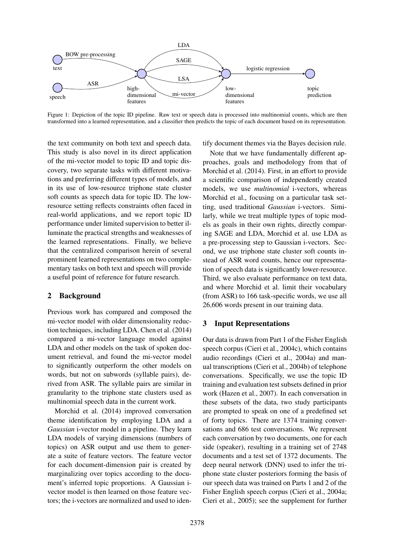

Figure 1: Depiction of the topic ID pipeline. Raw text or speech data is processed into multinomial counts, which are then transformed into a learned representation, and a classifier then predicts the topic of each document based on its representation.

the text community on both text and speech data. This study is also novel in its direct application of the mi-vector model to topic ID and topic discovery, two separate tasks with different motivations and preferring different types of models, and in its use of low-resource triphone state cluster soft counts as speech data for topic ID. The lowresource setting reflects constraints often faced in real-world applications, and we report topic ID performance under limited supervision to better illuminate the practical strengths and weaknesses of the learned representations. Finally, we believe that the centralized comparison herein of several prominent learned representations on two complementary tasks on both text and speech will provide a useful point of reference for future research.

### 2 Background

Previous work has compared and composed the mi-vector model with older dimensionality reduction techniques, including LDA. Chen et al. (2014) compared a mi-vector language model against LDA and other models on the task of spoken document retrieval, and found the mi-vector model to significantly outperform the other models on words, but not on subwords (syllable pairs), derived from ASR. The syllable pairs are similar in granularity to the triphone state clusters used as multinomial speech data in the current work.

Morchid et al. (2014) improved conversation theme identification by employing LDA and a *Gaussian* i-vector model in a pipeline. They learn LDA models of varying dimensions (numbers of topics) on ASR output and use them to generate a suite of feature vectors. The feature vector for each document-dimension pair is created by marginalizing over topics according to the document's inferred topic proportions. A Gaussian ivector model is then learned on those feature vectors; the i-vectors are normalized and used to identify document themes via the Bayes decision rule.

Note that we have fundamentally different approaches, goals and methodology from that of Morchid et al. (2014). First, in an effort to provide a scientific comparison of independently created models, we use *multinomial* i-vectors, whereas Morchid et al., focusing on a particular task setting, used traditional *Gaussian* i-vectors. Similarly, while we treat multiple types of topic models as goals in their own rights, directly comparing SAGE and LDA, Morchid et al. use LDA as a pre-processing step to Gaussian i-vectors. Second, we use triphone state cluster soft counts instead of ASR word counts, hence our representation of speech data is significantly lower-resource. Third, we also evaluate performance on text data, and where Morchid et al. limit their vocabulary (from ASR) to 166 task-specific words, we use all 26,606 words present in our training data.

#### 3 Input Representations

Our data is drawn from Part 1 of the Fisher English speech corpus (Cieri et al., 2004c), which contains audio recordings (Cieri et al., 2004a) and manual transcriptions (Cieri et al., 2004b) of telephone conversations. Specifically, we use the topic ID training and evaluation test subsets defined in prior work (Hazen et al., 2007). In each conversation in these subsets of the data, two study participants are prompted to speak on one of a predefined set of forty topics. There are 1374 training conversations and 686 test conversations. We represent each conversation by two documents, one for each side (speaker), resulting in a training set of 2748 documents and a test set of 1372 documents. The deep neural network (DNN) used to infer the triphone state cluster posteriors forming the basis of our speech data was trained on Parts 1 and 2 of the Fisher English speech corpus (Cieri et al., 2004a; Cieri et al., 2005); see the supplement for further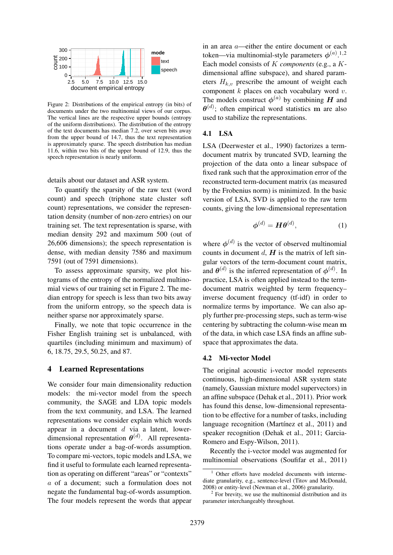

Figure 2: Distributions of the empirical entropy (in bits) of documents under the two multinomial views of our corpus. The vertical lines are the respective upper bounds (entropy of the uniform distributions). The distribution of the entropy of the text documents has median 7.2, over seven bits away from the upper bound of 14.7, thus the text representation is approximately sparse. The speech distribution has median 11.6, within two bits of the upper bound of 12.9, thus the speech representation is nearly uniform.

details about our dataset and ASR system.

To quantify the sparsity of the raw text (word count) and speech (triphone state cluster soft count) representations, we consider the representation density (number of non-zero entries) on our training set. The text representation is sparse, with median density 292 and maximum 500 (out of 26,606 dimensions); the speech representation is dense, with median density 7586 and maximum 7591 (out of 7591 dimensions).

To assess approximate sparsity, we plot histograms of the entropy of the normalized multinomial views of our training set in Figure 2. The median entropy for speech is less than two bits away from the uniform entropy, so the speech data is neither sparse nor approximately sparse.

Finally, we note that topic occurrence in the Fisher English training set is unbalanced, with quartiles (including minimum and maximum) of 6, 18.75, 29.5, 50.25, and 87.

#### 4 Learned Representations

We consider four main dimensionality reduction models: the mi-vector model from the speech community, the SAGE and LDA topic models from the text community, and LSA. The learned representations we consider explain which words appear in a document  $d$  via a latent, lowerdimensional representation  $\theta^{(d)}$ . All representations operate under a bag-of-words assumption. To compare mi-vectors, topic models and LSA, we find it useful to formulate each learned representation as operating on different "areas" or "contexts" a of a document; such a formulation does not negate the fundamental bag-of-words assumption. The four models represent the words that appear

in an area a—either the entire document or each token—via multinomial-style parameters  $\phi^{(a)}$ .<sup>1,2</sup> Each model consists of K *components* (e.g., a Kdimensional affine subspace), and shared parameters  $H_{k,v}$  prescribe the amount of weight each component  $k$  places on each vocabulary word  $v$ . The models construct  $\phi^{(a)}$  by combining H and  $\boldsymbol{\theta}^{(d)}$ ; often empirical word statistics m are also used to stabilize the representations.

#### 4.1 LSA

LSA (Deerwester et al., 1990) factorizes a termdocument matrix by truncated SVD, learning the projection of the data onto a linear subspace of fixed rank such that the approximation error of the reconstructed term-document matrix (as measured by the Frobenius norm) is minimized. In the basic version of LSA, SVD is applied to the raw term counts, giving the low-dimensional representation

$$
\boldsymbol{\phi}^{(d)} = \boldsymbol{H}\boldsymbol{\theta}^{(d)},\tag{1}
$$

where  $\phi^{(d)}$  is the vector of observed multinomial counts in document  $d$ ,  $H$  is the matrix of left singular vectors of the term-document count matrix, and  $\theta^{(d)}$  is the inferred representation of  $\phi^{(d)}$ . In practice, LSA is often applied instead to the termdocument matrix weighted by term frequency– inverse document frequency (tf-idf) in order to normalize terms by importance. We can also apply further pre-processing steps, such as term-wise centering by subtracting the column-wise mean m of the data, in which case LSA finds an affine subspace that approximates the data.

#### 4.2 Mi-vector Model

The original acoustic i-vector model represents continuous, high-dimensional ASR system state (namely, Gaussian mixture model supervectors) in an affine subspace (Dehak et al., 2011). Prior work has found this dense, low-dimensional representation to be effective for a number of tasks, including language recognition (Martínez et al., 2011) and speaker recognition (Dehak et al., 2011; Garcia-Romero and Espy-Wilson, 2011).

Recently the i-vector model was augmented for multinomial observations (Soufifar et al., 2011)

 $1$  Other efforts have modeled documents with intermediate granularity, e.g., sentence-level (Titov and McDonald, 2008) or entity-level (Newman et al., 2006) granularity.

<sup>&</sup>lt;sup>2</sup> For brevity, we use the multinomial distribution and its parameter interchangeably throughout.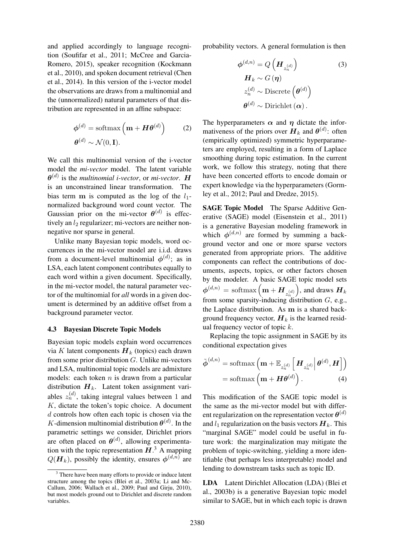and applied accordingly to language recognition (Soufifar et al., 2011; McCree and Garcia-Romero, 2015), speaker recognition (Kockmann et al., 2010), and spoken document retrieval (Chen et al., 2014). In this version of the i-vector model the observations are draws from a multinomial and the (unnormalized) natural parameters of that distribution are represented in an affine subspace:

$$
\phi^{(d)} = \text{softmax}\left(\mathbf{m} + \mathbf{H}\boldsymbol{\theta}^{(d)}\right) \tag{2}
$$

$$
\boldsymbol{\theta}^{(d)} \sim \mathcal{N}(0, \mathbf{I}).
$$

We call this multinomial version of the i-vector model the *mi-vector* model. The latent variable  $\boldsymbol{\theta}^{(d)}$  is the *multinomial i-vector*, or *mi-vector*. **H** is an unconstrained linear transformation. The bias term m is computed as the log of the  $l_1$ normalized background word count vector. The Gaussian prior on the mi-vector  $\boldsymbol{\theta}^{(d)}$  is effectively an  $l_2$  regularizer; mi-vectors are neither nonnegative nor sparse in general.

Unlike many Bayesian topic models, word occurrences in the mi-vector model are i.i.d. draws from a document-level multinomial  $\phi^{(d)}$ ; as in LSA, each latent component contributes equally to each word within a given document. Specifically, in the mi-vector model, the natural parameter vector of the multinomial for *all* words in a given document is determined by an additive offset from a background parameter vector.

#### 4.3 Bayesian Discrete Topic Models

Bayesian topic models explain word occurrences via K latent components  $H_k$  (topics) each drawn from some prior distribution G. Unlike mi-vectors and LSA, multinomial topic models are admixture models: each token  $n$  is drawn from a particular distribution  $H_k$ . Latent token assignment variables  $z_n^{(d)}$ , taking integral values between 1 and K, dictate the token's topic choice. A document d controls how often each topic is chosen via the K-dimension multinomial distribution  $\theta^{(d)}$ . In the parametric settings we consider, Dirichlet priors are often placed on  $\theta^{(d)}$ , allowing experimentation with the topic representation  $H^3$ . A mapping  $Q(H_k)$ , possibly the identity, ensures  $\phi^{(d,n)}$  are

probability vectors. A general formulation is then

$$
\phi^{(d,n)} = Q\left(\boldsymbol{H}_{z_n^{(d)}}\right)
$$
(3)  

$$
\boldsymbol{H}_k \sim G\left(\boldsymbol{\eta}\right)
$$
  

$$
z_n^{(d)} \sim \text{Discrete}\left(\boldsymbol{\theta}^{(d)}\right)
$$
  

$$
\boldsymbol{\theta}^{(d)} \sim \text{Dirichlet}\left(\boldsymbol{\alpha}\right).
$$

The hyperparameters  $\alpha$  and *n* dictate the informativeness of the priors over  $H_k$  and  $\theta^{(d)}$ : often (empirically optimized) symmetric hyperparameters are employed, resulting in a form of Laplace smoothing during topic estimation. In the current work, we follow this strategy, noting that there have been concerted efforts to encode domain or expert knowledge via the hyperparameters (Gormley et al., 2012; Paul and Dredze, 2015).

SAGE Topic Model The Sparse Additive Generative (SAGE) model (Eisenstein et al., 2011) is a generative Bayesian modeling framework in which  $\phi^{(d,n)}$  are formed by summing a background vector and one or more sparse vectors generated from appropriate priors. The additive components can reflect the contributions of documents, aspects, topics, or other factors chosen by the modeler. A basic SAGE topic model sets  $\boldsymbol{\phi}^{(d,n)}\,=\,\text{softmax}\left(\textbf{m}+\boldsymbol{H}_{z_{n}^{(d)}}\right)$ ), and draws  $H_k$ from some sparsity-inducing distribution  $G$ , e.g., the Laplace distribution. As m is a shared background frequency vector,  $H_k$  is the learned residual frequency vector of topic  $k$ .

Replacing the topic assignment in SAGE by its conditional expectation gives

$$
\tilde{\boldsymbol{\phi}}^{(d,n)} = \text{softmax}\left(\mathbf{m} + \mathbb{E}_{z_n^{(d)}}\left[\boldsymbol{H}_{z_n^{(d)}}\Big|\boldsymbol{\theta}^{(d)}, \boldsymbol{H}\right]\right)
$$

$$
= \text{softmax}\left(\mathbf{m} + \boldsymbol{H}\boldsymbol{\theta}^{(d)}\right). \tag{4}
$$

This modification of the SAGE topic model is the same as the mi-vector model but with different regularization on the representation vector  $\theta^{(d)}$ and  $l_1$  regularization on the basis vectors  $H_k$ . This "marginal SAGE" model could be useful in future work: the marginalization may mitigate the problem of topic-switching, yielding a more identifiable (but perhaps less interpretable) model and lending to downstream tasks such as topic ID.

LDA Latent Dirichlet Allocation (LDA) (Blei et al., 2003b) is a generative Bayesian topic model similar to SAGE, but in which each topic is drawn

<sup>&</sup>lt;sup>3</sup> There have been many efforts to provide or induce latent structure among the topics (Blei et al., 2003a; Li and Mc-Callum, 2006; Wallach et al., 2009; Paul and Girju, 2010), but most models ground out to Dirichlet and discrete random variables.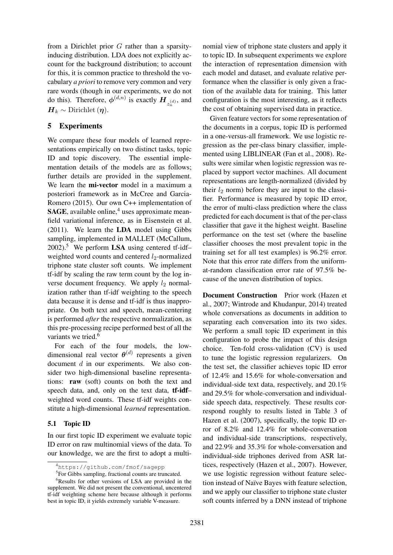from a Dirichlet prior G rather than a sparsityinducing distribution. LDA does not explicitly account for the background distribution; to account for this, it is common practice to threshold the vocabulary *a priori* to remove very common and very rare words (though in our experiments, we do not do this). Therefore,  $\phi^{(d,n)}$  is exactly  $\boldsymbol{H}_{z_n^{(d)}},$  and  $H_k \sim$  Dirichlet  $(\eta)$ .

### 5 Experiments

We compare these four models of learned representations empirically on two distinct tasks, topic ID and topic discovery. The essential implementation details of the models are as follows; further details are provided in the supplement. We learn the **mi-vector** model in a maximum a posteriori framework as in McCree and Garcia-Romero (2015). Our own C++ implementation of **SAGE**, available online,<sup>4</sup> uses approximate meanfield variational inference, as in Eisenstein et al. (2011). We learn the LDA model using Gibbs sampling, implemented in MALLET (McCallum,  $2002$ ).<sup>5</sup> We perform LSA using centered tf-idfweighted word counts and centered  $l_2$ -normalized triphone state cluster soft counts. We implement tf-idf by scaling the raw term count by the log inverse document frequency. We apply  $l_2$  normalization rather than tf-idf weighting to the speech data because it is dense and tf-idf is thus inappropriate. On both text and speech, mean-centering is performed *after* the respective normalization, as this pre-processing recipe performed best of all the variants we tried.<sup>6</sup>

For each of the four models, the lowdimensional real vector  $\boldsymbol{\theta}^{(d)}$  represents a given document d in our experiments. We also consider two high-dimensional baseline representations: raw (soft) counts on both the text and speech data, and, only on the text data, tf-idf– weighted word counts. These tf-idf weights constitute a high-dimensional *learned* representation.

### 5.1 Topic ID

In our first topic ID experiment we evaluate topic ID error on raw multinomial views of the data. To our knowledge, we are the first to adopt a multi-

nomial view of triphone state clusters and apply it to topic ID. In subsequent experiments we explore the interaction of representation dimension with each model and dataset, and evaluate relative performance when the classifier is only given a fraction of the available data for training. This latter configuration is the most interesting, as it reflects the cost of obtaining supervised data in practice.

Given feature vectors for some representation of the documents in a corpus, topic ID is performed in a one-versus-all framework. We use logistic regression as the per-class binary classifier, implemented using LIBLINEAR (Fan et al., 2008). Results were similar when logistic regression was replaced by support vector machines. All document representations are length-normalized (divided by their  $l_2$  norm) before they are input to the classifier. Performance is measured by topic ID error, the error of multi-class prediction where the class predicted for each document is that of the per-class classifier that gave it the highest weight. Baseline performance on the test set (where the baseline classifier chooses the most prevalent topic in the training set for all test examples) is 96.2% error. Note that this error rate differs from the uniformat-random classification error rate of 97.5% because of the uneven distribution of topics.

Document Construction Prior work (Hazen et al., 2007; Wintrode and Khudanpur, 2014) treated whole conversations as documents in addition to separating each conversation into its two sides. We perform a small topic ID experiment in this configuration to probe the impact of this design choice. Ten-fold cross-validation (CV) is used to tune the logistic regression regularizers. On the test set, the classifier achieves topic ID error of 12.4% and 15.6% for whole-conversation and individual-side text data, respectively, and 20.1% and 29.5% for whole-conversation and individualside speech data, respectively. These results correspond roughly to results listed in Table 3 of Hazen et al. (2007), specifically, the topic ID error of 8.2% and 12.4% for whole-conversation and individual-side transcriptions, respectively, and 22.9% and 35.3% for whole-conversation and individual-side triphones derived from ASR lattices, respectively (Hazen et al., 2007). However, we use logistic regression without feature selection instead of Naïve Bayes with feature selection, and we apply our classifier to triphone state cluster soft counts inferred by a DNN instead of triphone

<sup>4</sup>https://github.com/fmof/sagepp

<sup>&</sup>lt;sup>5</sup>For Gibbs sampling, fractional counts are truncated.

 $6$ Results for other versions of LSA are provided in the supplement. We did not present the conventional, uncentered tf-idf weighting scheme here because although it performs best in topic ID, it yields extremely variable V-measure.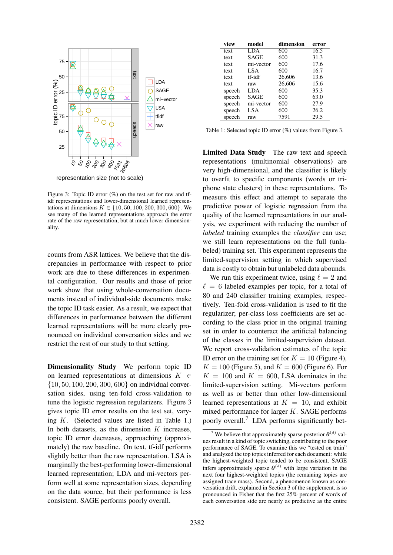

Figure 3: Topic ID error  $(\%)$  on the test set for raw and tfidf representations and lower-dimensional learned representations at dimensions  $K \in \{10, 50, 100, 200, 300, 600\}$ . We see many of the learned representations approach the error rate of the raw representation, but at much lower dimensionality.

counts from ASR lattices. We believe that the discrepancies in performance with respect to prior work are due to these differences in experimental configuration. Our results and those of prior work show that using whole-conversation documents instead of individual-side documents make the topic ID task easier. As a result, we expect that differences in performance between the different learned representations will be more clearly pronounced on individual conversation sides and we restrict the rest of our study to that setting.

Dimensionality Study We perform topic ID on learned representations at dimensions  $K \in$ {10, 50, 100, 200, 300, 600} on individual conversation sides, using ten-fold cross-validation to tune the logistic regression regularizers. Figure 3 gives topic ID error results on the test set, varying K. (Selected values are listed in Table 1.) In both datasets, as the dimension  $K$  increases, topic ID error decreases, approaching (approximately) the raw baseline. On text, tf-idf performs slightly better than the raw representation. LSA is marginally the best-performing lower-dimensional learned representation; LDA and mi-vectors perform well at some representation sizes, depending on the data source, but their performance is less consistent. SAGE performs poorly overall.

| view   | model       | dimension | error |
|--------|-------------|-----------|-------|
| text   | LDA         | 600       | 16.5  |
| text   | SAGE        | 600       | 31.3  |
| text   | mi-vector   | 600       | 17.6  |
| text   | LSA         | 600       | 16.7  |
| text   | tf-idf      | 26,606    | 13.6  |
| text   | raw         | 26,606    | 15.6  |
| speech | LDA         | 600       | 35.3  |
| speech | <b>SAGE</b> | 600       | 63.0  |
| speech | mi-vector   | 600       | 27.9  |
| speech | LSA         | 600       | 26.2  |
| speech | raw         | 7591      | 29.5  |

Table 1: Selected topic ID error (%) values from Figure 3.

Limited Data Study The raw text and speech representations (multinomial observations) are very high-dimensional, and the classifier is likely to overfit to specific components (words or triphone state clusters) in these representations. To measure this effect and attempt to separate the predictive power of logistic regression from the quality of the learned representations in our analysis, we experiment with reducing the number of *labeled* training examples the *classifier* can use; we still learn representations on the full (unlabeled) training set. This experiment represents the limited-supervision setting in which supervised data is costly to obtain but unlabeled data abounds.

We run this experiment twice, using  $\ell = 2$  and  $\ell = 6$  labeled examples per topic, for a total of 80 and 240 classifier training examples, respectively. Ten-fold cross-validation is used to fit the regularizer; per-class loss coefficients are set according to the class prior in the original training set in order to counteract the artificial balancing of the classes in the limited-supervision dataset. We report cross-validation estimates of the topic ID error on the training set for  $K = 10$  (Figure 4),  $K = 100$  (Figure 5), and  $K = 600$  (Figure 6). For  $K = 100$  and  $K = 600$ , LSA dominates in the limited-supervision setting. Mi-vectors perform as well as or better than other low-dimensional learned representations at  $K = 10$ , and exhibit mixed performance for larger K. SAGE performs poorly overall.<sup>7</sup> LDA performs significantly bet-

<sup>&</sup>lt;sup>7</sup> We believe that approximately sparse posterior  $\boldsymbol{\theta}^{(d)}$  values result in a kind of topic switching, contributing to the poor performance of SAGE. To examine this we "tested on train" and analyzed the top topics inferred for each document: while the highest-weighted topic tended to be consistent, SAGE infers approximately sparse  $\boldsymbol{\theta}^{(d)}$  with large variation in the next four highest-weighted topics (the remaining topics are assigned trace mass). Second, a phenomenon known as conversation drift, explained in Section 3 of the supplement, is so pronounced in Fisher that the first 25% percent of words of each conversation side are nearly as predictive as the entire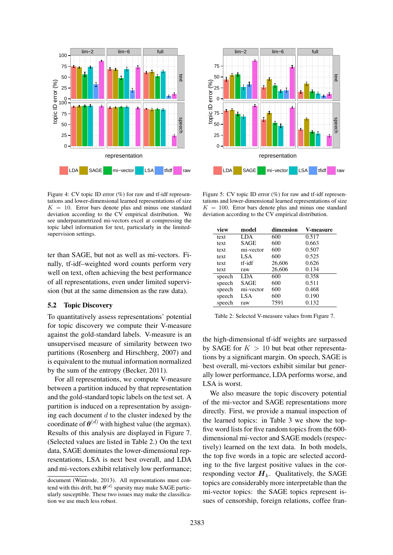

Figure 4: CV topic ID error  $(\%)$  for raw and tf-idf representations and lower-dimensional learned representations of size  $K = 10$ . Error bars denote plus and minus one standard deviation according to the CV empirical distribution. We see underparametrized mi-vectors excel at compressing the topic label information for text, particularly in the limitedsupervision settings.

ter than SAGE, but not as well as mi-vectors. Finally, tf-idf–weighted word counts perform very well on text, often achieving the best performance of all representations, even under limited supervision (but at the same dimension as the raw data).

#### 5.2 Topic Discovery

To quantitatively assess representations' potential for topic discovery we compute their V-measure against the gold-standard labels. V-measure is an unsupervised measure of similarity between two partitions (Rosenberg and Hirschberg, 2007) and is equivalent to the mutual information normalized by the sum of the entropy (Becker, 2011).

For all representations, we compute V-measure between a partition induced by that representation and the gold-standard topic labels on the test set. A partition is induced on a representation by assigning each document  $d$  to the cluster indexed by the coordinate of  $\theta^{(d)}$  with highest value (the argmax). Results of this analysis are displayed in Figure 7. (Selected values are listed in Table 2.) On the text data, SAGE dominates the lower-dimensional representations, LSA is next best overall, and LDA and mi-vectors exhibit relatively low performance;



Figure 5: CV topic ID error  $(\%)$  for raw and tf-idf representations and lower-dimensional learned representations of size  $K = 100$ . Error bars denote plus and minus one standard deviation according to the CV empirical distribution.

| view   | model       | dimension | V-measure |
|--------|-------------|-----------|-----------|
| text   | LDA         | 600       | 0.517     |
| text   | <b>SAGE</b> | 600       | 0.663     |
| text   | mi-vector   | 600       | 0.507     |
| text   | LSA         | 600       | 0.525     |
| text   | tf-idf      | 26,606    | 0.626     |
| text   | raw         | 26,606    | 0.134     |
| speech | LDA         | 600       | 0.358     |
| speech | <b>SAGE</b> | 600       | 0.511     |
| speech | mi-vector   | 600       | 0.468     |
| speech | LSA         | 600       | 0.190     |
| speech | raw         | 7591      | 0.132     |

Table 2: Selected V-measure values from Figure 7.

the high-dimensional tf-idf weights are surpassed by SAGE for  $K > 10$  but beat other representations by a significant margin. On speech, SAGE is best overall, mi-vectors exhibit similar but generally lower performance, LDA performs worse, and LSA is worst.

We also measure the topic discovery potential of the mi-vector and SAGE representations more directly. First, we provide a manual inspection of the learned topics: in Table 3 we show the topfive word lists for five random topics from the 600 dimensional mi-vector and SAGE models (respectively) learned on the text data. In both models, the top five words in a topic are selected according to the five largest positive values in the corresponding vector  $H_k$ . Qualitatively, the SAGE topics are considerably more interpretable than the mi-vector topics: the SAGE topics represent issues of censorship, foreign relations, coffee fran-

document (Wintrode, 2013). All representations must contend with this drift, but  $\boldsymbol{\theta}^{(d)}$  sparsity may make SAGE particularly susceptible. These two issues may make the classification we use much less robust.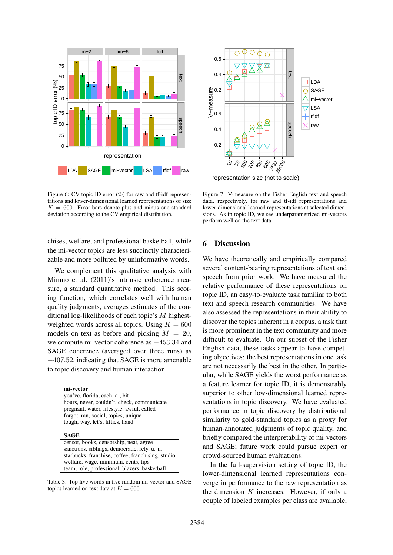

Figure 6: CV topic ID error  $(\%)$  for raw and tf-idf representations and lower-dimensional learned representations of size  $K = 600$ . Error bars denote plus and minus one standard deviation according to the CV empirical distribution.

chises, welfare, and professional basketball, while the mi-vector topics are less succinctly characterizable and more polluted by uninformative words.

We complement this qualitative analysis with Mimno et al. (2011)'s intrinsic coherence measure, a standard quantitative method. This scoring function, which correlates well with human quality judgments, averages estimates of the conditional log-likelihoods of each topic's M highestweighted words across all topics. Using  $K = 600$ models on text as before and picking  $M = 20$ , we compute mi-vector coherence as  $-453.34$  and SAGE coherence (averaged over three runs) as −407.52, indicating that SAGE is more amenable to topic discovery and human interaction.

| mi-vector                                         |  |
|---------------------------------------------------|--|
| you've, florida, each, a-, bit                    |  |
| hours, never, couldn't, check, communicate        |  |
| pregnant, water, lifestyle, awful, called         |  |
| forgot, ran, social, topics, unique               |  |
| tough, way, let's, fifties, hand                  |  |
| <b>SAGE</b>                                       |  |
| censor, books, censorship, neat, agree            |  |
| sanctions, siblings, democratic, rely, u. n.      |  |
| starbucks, franchise, coffee, franchising, studio |  |
| welfare, wage, minimum, cents, tips               |  |
| team, role, professional, blazers, basketball     |  |

Table 3: Top five words in five random mi-vector and SAGE topics learned on text data at  $K = 600$ .



representation size (not to scale)

Figure 7: V-measure on the Fisher English text and speech data, respectively, for raw and tf-idf representations and lower-dimensional learned representations at selected dimensions. As in topic ID, we see underparametrized mi-vectors perform well on the text data.

### 6 Discussion

We have theoretically and empirically compared several content-bearing representations of text and speech from prior work. We have measured the relative performance of these representations on topic ID, an easy-to-evaluate task familiar to both text and speech research communities. We have also assessed the representations in their ability to discover the topics inherent in a corpus, a task that is more prominent in the text community and more difficult to evaluate. On our subset of the Fisher English data, these tasks appear to have competing objectives: the best representations in one task are not necessarily the best in the other. In particular, while SAGE yields the worst performance as a feature learner for topic ID, it is demonstrably superior to other low-dimensional learned representations in topic discovery. We have evaluated performance in topic discovery by distributional similarity to gold-standard topics as a proxy for human-annotated judgments of topic quality, and briefly compared the interpretability of mi-vectors and SAGE; future work could pursue expert or crowd-sourced human evaluations.

In the full-supervision setting of topic ID, the lower-dimensional learned representations converge in performance to the raw representation as the dimension  $K$  increases. However, if only a couple of labeled examples per class are available,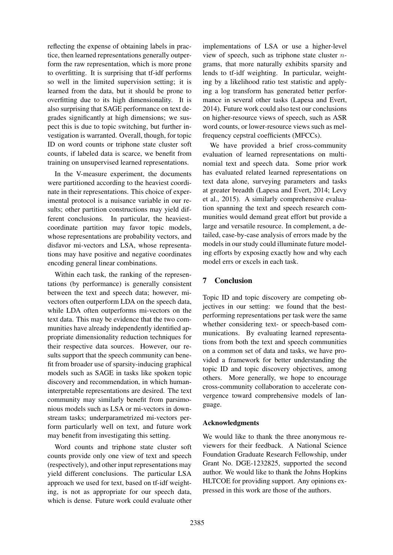reflecting the expense of obtaining labels in practice, then learned representations generally outperform the raw representation, which is more prone to overfitting. It is surprising that tf-idf performs so well in the limited supervision setting; it is learned from the data, but it should be prone to overfitting due to its high dimensionality. It is also surprising that SAGE performance on text degrades significantly at high dimensions; we suspect this is due to topic switching, but further investigation is warranted. Overall, though, for topic ID on word counts or triphone state cluster soft counts, if labeled data is scarce, we benefit from training on unsupervised learned representations.

In the V-measure experiment, the documents were partitioned according to the heaviest coordinate in their representations. This choice of experimental protocol is a nuisance variable in our results; other partition constructions may yield different conclusions. In particular, the heaviestcoordinate partition may favor topic models, whose representations are probability vectors, and disfavor mi-vectors and LSA, whose representations may have positive and negative coordinates encoding general linear combinations.

Within each task, the ranking of the representations (by performance) is generally consistent between the text and speech data; however, mivectors often outperform LDA on the speech data, while LDA often outperforms mi-vectors on the text data. This may be evidence that the two communities have already independently identified appropriate dimensionality reduction techniques for their respective data sources. However, our results support that the speech community can benefit from broader use of sparsity-inducing graphical models such as SAGE in tasks like spoken topic discovery and recommendation, in which humaninterpretable representations are desired. The text community may similarly benefit from parsimonious models such as LSA or mi-vectors in downstream tasks; underparametrized mi-vectors perform particularly well on text, and future work may benefit from investigating this setting.

Word counts and triphone state cluster soft counts provide only one view of text and speech (respectively), and other input representations may yield different conclusions. The particular LSA approach we used for text, based on tf-idf weighting, is not as appropriate for our speech data, which is dense. Future work could evaluate other

implementations of LSA or use a higher-level view of speech, such as triphone state cluster  $n$ grams, that more naturally exhibits sparsity and lends to tf-idf weighting. In particular, weighting by a likelihood ratio test statistic and applying a log transform has generated better performance in several other tasks (Lapesa and Evert, 2014). Future work could also test our conclusions on higher-resource views of speech, such as ASR word counts, or lower-resource views such as melfrequency cepstral coefficients (MFCCs).

We have provided a brief cross-community evaluation of learned representations on multinomial text and speech data. Some prior work has evaluated related learned representations on text data alone, surveying parameters and tasks at greater breadth (Lapesa and Evert, 2014; Levy et al., 2015). A similarly comprehensive evaluation spanning the text and speech research communities would demand great effort but provide a large and versatile resource. In complement, a detailed, case-by-case analysis of errors made by the models in our study could illuminate future modeling efforts by exposing exactly how and why each model errs or excels in each task.

# 7 Conclusion

Topic ID and topic discovery are competing objectives in our setting: we found that the bestperforming representations per task were the same whether considering text- or speech-based communications. By evaluating learned representations from both the text and speech communities on a common set of data and tasks, we have provided a framework for better understanding the topic ID and topic discovery objectives, among others. More generally, we hope to encourage cross-community collaboration to accelerate convergence toward comprehensive models of language.

## Acknowledgments

We would like to thank the three anonymous reviewers for their feedback. A National Science Foundation Graduate Research Fellowship, under Grant No. DGE-1232825, supported the second author. We would like to thank the Johns Hopkins HLTCOE for providing support. Any opinions expressed in this work are those of the authors.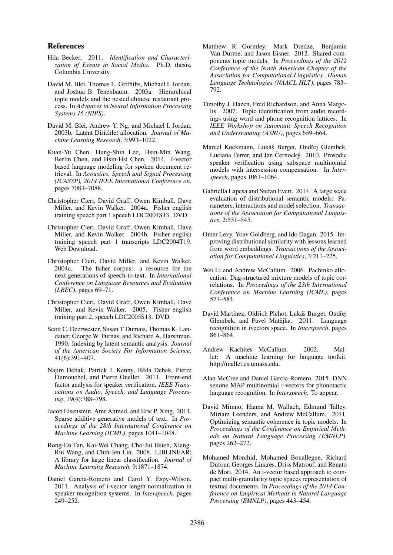#### References

- Hila Becker. 2011. *Identification and Characterization of Events in Social Media*. Ph.D. thesis, Columbia University.
- David M. Blei, Thomas L. Griffiths, Michael I. Jordan, and Joshua B. Tenenbaum. 2003a. Hierarchical topic models and the nested chinese restaurant process. In *Advances in Neural Information Processing Systems 16 (NIPS)*.
- David M. Blei, Andrew Y. Ng, and Michael I. Jordan. 2003b. Latent Dirichlet allocation. *Journal of Machine Learning Research*, 3:993–1022.
- Kuan-Yu Chen, Hung-Shin Lee, Hsin-Min Wang, Berlin Chen, and Hsin-Hsi Chen. 2014. I-vector based language modeling for spoken document retrieval. In *Acoustics, Speech and Signal Processing (ICASSP), 2014 IEEE International Conference on*, pages 7083–7088.
- Christopher Cieri, David Graff, Owen Kimball, Dave Miller, and Kevin Walker. 2004a. Fisher english training speech part 1 speech LDC2004S13. DVD.
- Christopher Cieri, David Graff, Owen Kimball, Dave Miller, and Kevin Walker. 2004b. Fisher english training speech part 1 transcripts LDC2004T19. Web Download.
- Christopher Cieri, David Miller, and Kevin Walker. 2004c. The fisher corpus: a resource for the next generations of speech-to-text. In *International Conference on Language Resources and Evaluation (LREC)*, pages 69–71.
- Christopher Cieri, David Graff, Owen Kimball, Dave Miller, and Kevin Walker. 2005. Fisher english training part 2, speech LDC2005S13. DVD.
- Scott C. Deerwester, Susan T Dumais, Thomas K. Landauer, George W. Furnas, and Richard A. Harshman. 1990. Indexing by latent semantic analysis. *Journal of the American Society For Information Science*, 41(6):391–407.
- Najim Dehak, Patrick J. Kenny, Reda Dehak, Pierre ´ Dumouchel, and Pierre Ouellet. 2011. Front-end factor analysis for speaker verification. *IEEE Transactions on Audio, Speech, and Language Processing*, 19(4):788–798.
- Jacob Eisenstein, Amr Ahmed, and Eric P. Xing. 2011. Sparse additive generative models of text. In *Proceedings of the 28th International Conference on Machine Learning (ICML)*, pages 1041–1048.
- Rong-En Fan, Kai-Wei Chang, Cho-Jui Hsieh, Xiang-Rui Wang, and Chih-Jen Lin. 2008. LIBLINEAR: A library for large linear classification. *Journal of Machine Learning Research*, 9:1871–1874.
- Daniel Garcia-Romero and Carol Y. Espy-Wilson. 2011. Analysis of i-vector length normalization in speaker recognition systems. In *Interspeech*, pages 249–252.
- Matthew R Gormley, Mark Dredze, Benjamin Van Durme, and Jason Eisner. 2012. Shared components topic models. In *Proceedings of the 2012 Conference of the North American Chapter of the Association for Computational Linguistics: Human Language Technologies (NAACL HLT)*, pages 783– 792.
- Timothy J. Hazen, Fred Richardson, and Anna Margolis. 2007. Topic identification from audio recordings using word and phone recognition lattices. In *IEEE Workshop on Automatic Speech Recognition and Understanding (ASRU)*, pages 659–664.
- Marcel Kockmann, Lukáš Burget, Ondřej Glembek, Luciana Ferrer, and Jan Černocký. 2010. Prosodic speaker verification using subspace multinomial models with intersession compensation. In *Interspeech*, pages 1061–1064.
- Gabriella Lapesa and Stefan Evert. 2014. A large scale evaluation of distributional semantic models: Parameters, interactions and model selection. *Transactions of the Association for Computational Linguistics*, 2:531–545.
- Omer Levy, Yoav Goldberg, and Ido Dagan. 2015. Improving distributional similarity with lessons learned from word embeddings. *Transactions of the Association for Computational Linguistics*, 3:211–225.
- Wei Li and Andrew McCallum. 2006. Pachinko allocation: Dag-structured mixture models of topic correlations. In *Proceedings of the 23th International Conference on Machine Learning (ICML)*, pages 577–584.
- David Martínez, Oldřich Plchot, Lukáš Burget, Ondřej Glembek, and Pavel Matějka. 2011. Language recognition in ivectors space. In *Interspeech*, pages 861–864.
- Andrew Kachites McCallum. 2002. Mallet: A machine learning for language toolkit. http://mallet.cs.umass.edu.
- Alan McCree and Daniel Garcia-Romero. 2015. DNN senone MAP multinomial i-vectors for phonotactic language recognition. In *Interspeech*. To appear.
- David Mimno, Hanna M. Wallach, Edmund Talley, Miriam Leenders, and Andrew McCallum. 2011. Optimizing semantic coherence in topic models. In *Proceedings of the Conference on Empirical Methods on Natural Language Processing (EMNLP)*, pages 262–272.
- Mohamed Morchid, Mohamed Bouallegue, Richard Dufour, Georges Linarès, Driss Matrouf, and Renato de Mori. 2014. An i-vector based approach to compact multi-granularity topic spaces representation of textual documents. In *Proceedings of the 2014 Conference on Empirical Methods in Natural Language Processing (EMNLP)*, pages 443–454.